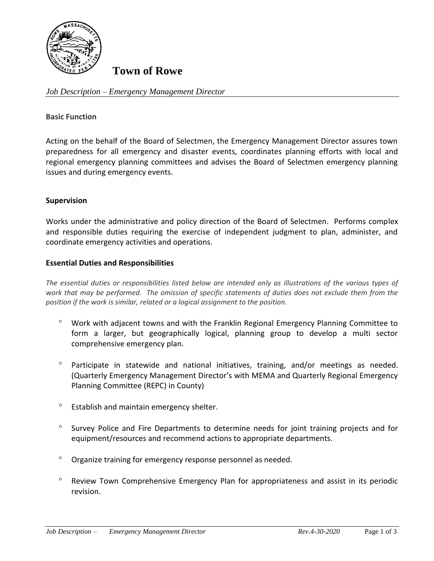

# **Town of Rowe**

*Job Description – Emergency Management Director*

#### **Basic Function**

Acting on the behalf of the Board of Selectmen, the Emergency Management Director assures town preparedness for all emergency and disaster events, coordinates planning efforts with local and regional emergency planning committees and advises the Board of Selectmen emergency planning issues and during emergency events.

### **Supervision**

Works under the administrative and policy direction of the Board of Selectmen. Performs complex and responsible duties requiring the exercise of independent judgment to plan, administer, and coordinate emergency activities and operations.

#### **Essential Duties and Responsibilities**

*The essential duties or responsibilities listed below are intended only as illustrations of the various types of work that may be performed. The omission of specific statements of duties does not exclude them from the position if the work is similar, related or a logical assignment to the position.*

- Work with adjacent towns and with the Franklin Regional Emergency Planning Committee to form a larger, but geographically logical, planning group to develop a multi sector comprehensive emergency plan.
- <sup>o</sup> Participate in statewide and national initiatives, training, and/or meetings as needed. (Quarterly Emergency Management Director's with MEMA and Quarterly Regional Emergency Planning Committee (REPC) in County)
- <sup>o</sup> Establish and maintain emergency shelter.
- <sup>o</sup> Survey Police and Fire Departments to determine needs for joint training projects and for equipment/resources and recommend actions to appropriate departments.
- <sup>o</sup> Organize training for emergency response personnel as needed.
- Review Town Comprehensive Emergency Plan for appropriateness and assist in its periodic revision.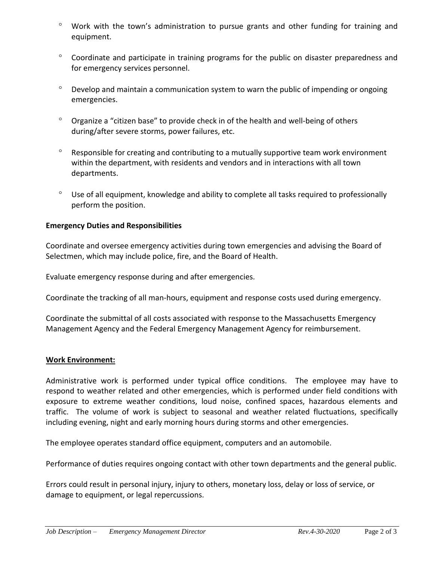- Work with the town's administration to pursue grants and other funding for training and equipment.
- Coordinate and participate in training programs for the public on disaster preparedness and for emergency services personnel.
- $\degree$  Develop and maintain a communication system to warn the public of impending or ongoing emergencies.
- $^{\circ}$  Organize a "citizen base" to provide check in of the health and well-being of others during/after severe storms, power failures, etc.
- $\degree$  Responsible for creating and contributing to a mutually supportive team work environment within the department, with residents and vendors and in interactions with all town departments.
- Use of all equipment, knowledge and ability to complete all tasks required to professionally perform the position.

# **Emergency Duties and Responsibilities**

Coordinate and oversee emergency activities during town emergencies and advising the Board of Selectmen, which may include police, fire, and the Board of Health.

Evaluate emergency response during and after emergencies.

Coordinate the tracking of all man-hours, equipment and response costs used during emergency.

Coordinate the submittal of all costs associated with response to the Massachusetts Emergency Management Agency and the Federal Emergency Management Agency for reimbursement.

# **Work Environment:**

Administrative work is performed under typical office conditions. The employee may have to respond to weather related and other emergencies, which is performed under field conditions with exposure to extreme weather conditions, loud noise, confined spaces, hazardous elements and traffic. The volume of work is subject to seasonal and weather related fluctuations, specifically including evening, night and early morning hours during storms and other emergencies.

The employee operates standard office equipment, computers and an automobile.

Performance of duties requires ongoing contact with other town departments and the general public.

Errors could result in personal injury, injury to others, monetary loss, delay or loss of service, or damage to equipment, or legal repercussions.